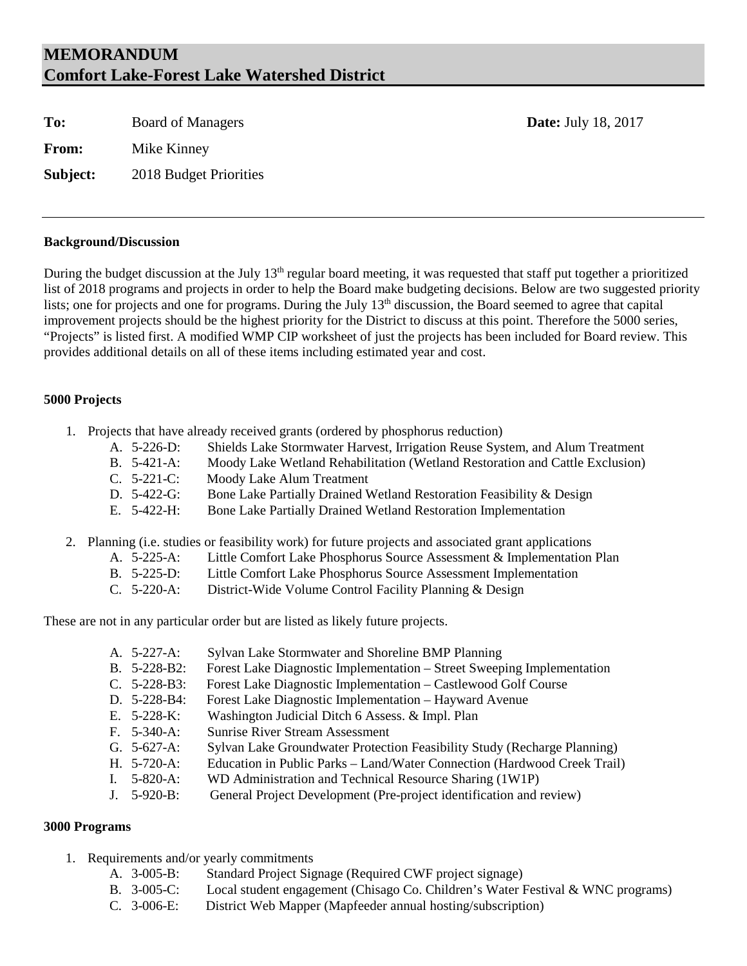# **MEMORANDUM Comfort Lake-Forest Lake Watershed District**

**To:** Board of Managers **Date:** July 18, 2017

**From:** Mike Kinney

**Subject:** 2018 Budget Priorities

### **Background/Discussion**

During the budget discussion at the July 13<sup>th</sup> regular board meeting, it was requested that staff put together a prioritized list of 2018 programs and projects in order to help the Board make budgeting decisions. Below are two suggested priority lists; one for projects and one for programs. During the July 13<sup>th</sup> discussion, the Board seemed to agree that capital improvement projects should be the highest priority for the District to discuss at this point. Therefore the 5000 series, "Projects" is listed first. A modified WMP CIP worksheet of just the projects has been included for Board review. This provides additional details on all of these items including estimated year and cost.

### **5000 Projects**

- 1. Projects that have already received grants (ordered by phosphorus reduction)
	- A. 5-226-D: Shields Lake Stormwater Harvest, Irrigation Reuse System, and Alum Treatment
	- B. 5-421-A: Moody Lake Wetland Rehabilitation (Wetland Restoration and Cattle Exclusion)
	- C. 5-221-C: Moody Lake Alum Treatment
	- D. 5-422-G: Bone Lake Partially Drained Wetland Restoration Feasibility & Design
	- E. 5-422-H: Bone Lake Partially Drained Wetland Restoration Implementation
- 2. Planning (i.e. studies or feasibility work) for future projects and associated grant applications
	- A. 5-225-A: Little Comfort Lake Phosphorus Source Assessment & Implementation Plan
	- B. 5-225-D: Little Comfort Lake Phosphorus Source Assessment Implementation
	- C. 5-220-A: District-Wide Volume Control Facility Planning & Design

These are not in any particular order but are listed as likely future projects.

A. 5-227-A: Sylvan Lake Stormwater and Shoreline BMP Planning B. 5-228-B2: Forest Lake Diagnostic Implementation – Street Sweeping Implementation C. 5-228-B3: Forest Lake Diagnostic Implementation – Castlewood Golf Course D. 5-228-B4: Forest Lake Diagnostic Implementation – Hayward Avenue E. 5-228-K: Washington Judicial Ditch 6 Assess. & Impl. Plan F. 5-340-A: Sunrise River Stream Assessment G. 5-627-A: Sylvan Lake Groundwater Protection Feasibility Study (Recharge Planning) H. 5-720-A: Education in Public Parks – Land/Water Connection (Hardwood Creek Trail) I. 5-820-A: WD Administration and Technical Resource Sharing (1W1P) J. 5-920-B: General Project Development (Pre-project identification and review)

#### **3000 Programs**

- 1. Requirements and/or yearly commitments
	- A. 3-005-B: Standard Project Signage (Required CWF project signage)
	- B. 3-005-C: Local student engagement (Chisago Co. Children's Water Festival & WNC programs)
	- C. 3-006-E: District Web Mapper (Mapfeeder annual hosting/subscription)